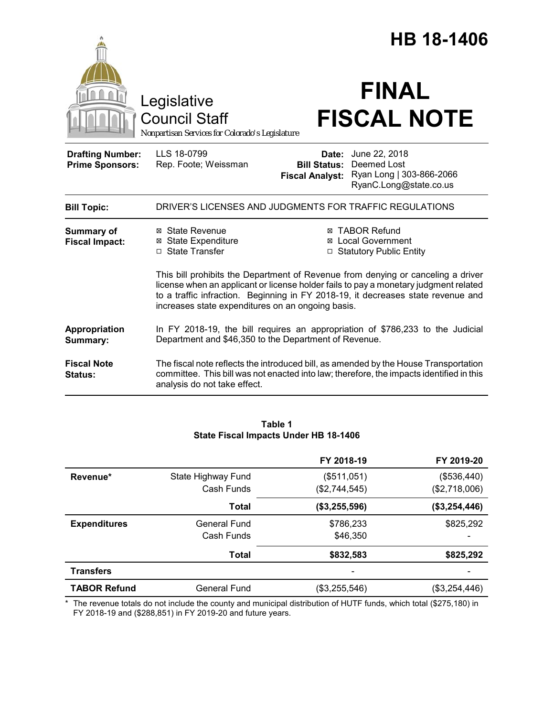|                                                   |                                                                                        | HB 18-1406                                                                                                                                                                       |  |
|---------------------------------------------------|----------------------------------------------------------------------------------------|----------------------------------------------------------------------------------------------------------------------------------------------------------------------------------|--|
|                                                   | Legislative<br><b>Council Staff</b><br>Nonpartisan Services for Colorado's Legislature | <b>FINAL</b><br><b>FISCAL NOTE</b>                                                                                                                                               |  |
| <b>Drafting Number:</b><br><b>Prime Sponsors:</b> | LLS 18-0799<br>Rep. Foote; Weissman                                                    | June 22, 2018<br>Date:<br>Deemed Lost<br><b>Bill Status:</b><br>Ryan Long   303-866-2066<br><b>Fiscal Analyst:</b><br>RyanC.Long@state.co.us                                     |  |
| <b>Bill Topic:</b>                                |                                                                                        | DRIVER'S LICENSES AND JUDGMENTS FOR TRAFFIC REGULATIONS                                                                                                                          |  |
| <b>Summary of</b><br><b>Fiscal Impact:</b>        | ⊠ State Revenue<br><b>⊠</b> State Expenditure<br>□ State Transfer                      | <b>⊠ TABOR Refund</b><br><b>⊠</b> Local Government<br>□ Statutory Public Entity<br>This bill prohibits the Department of Revenue from denying or canceling a driver              |  |
|                                                   | increases state expenditures on an ongoing basis.                                      | license when an applicant or license holder fails to pay a monetary judgment related<br>to a traffic infraction. Beginning in FY 2018-19, it decreases state revenue and         |  |
| Appropriation<br>Summary:                         |                                                                                        | In FY 2018-19, the bill requires an appropriation of \$786,233 to the Judicial<br>Department and \$46,350 to the Department of Revenue.                                          |  |
| <b>Fiscal Note</b><br>Status:                     | analysis do not take effect.                                                           | The fiscal note reflects the introduced bill, as amended by the House Transportation<br>committee. This bill was not enacted into law; therefore, the impacts identified in this |  |

|                     |                     | FY 2018-19    | FY 2019-20      |
|---------------------|---------------------|---------------|-----------------|
| Revenue*            | State Highway Fund  | (\$511,051)   | (\$536,440)     |
|                     | Cash Funds          | (\$2,744,545) | (\$2,718,006)   |
|                     | Total               | (\$3,255,596) | (\$3,254,446)   |
| <b>Expenditures</b> | <b>General Fund</b> | \$786,233     | \$825,292       |
|                     | Cash Funds          | \$46,350      |                 |
|                     | Total               | \$832,583     | \$825,292       |
| <b>Transfers</b>    |                     |               |                 |
| <b>TABOR Refund</b> | <b>General Fund</b> | (\$3,255,546) | $(\$3,254,446)$ |

**Table 1 State Fiscal Impacts Under HB 18-1406**

\* The revenue totals do not include the county and municipal distribution of HUTF funds, which total (\$275,180) in FY 2018-19 and (\$288,851) in FY 2019-20 and future years.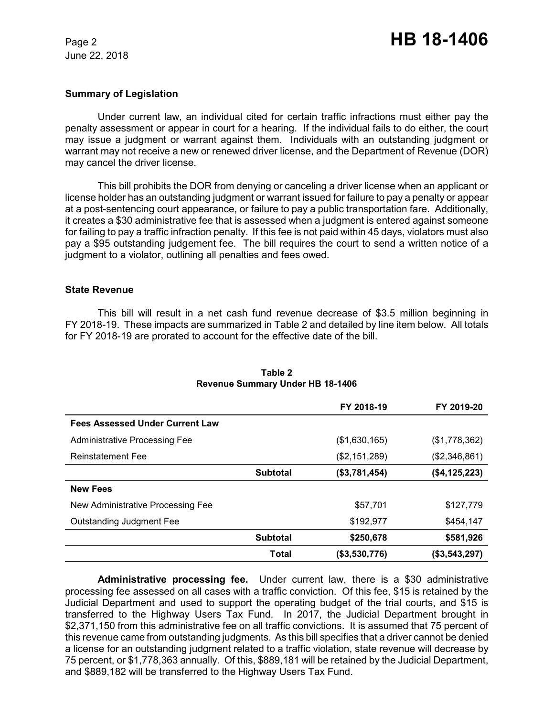June 22, 2018

## **Summary of Legislation**

Under current law, an individual cited for certain traffic infractions must either pay the penalty assessment or appear in court for a hearing. If the individual fails to do either, the court may issue a judgment or warrant against them. Individuals with an outstanding judgment or warrant may not receive a new or renewed driver license, and the Department of Revenue (DOR) may cancel the driver license.

This bill prohibits the DOR from denying or canceling a driver license when an applicant or license holder has an outstanding judgment or warrant issued for failure to pay a penalty or appear at a post-sentencing court appearance, or failure to pay a public transportation fare. Additionally, it creates a \$30 administrative fee that is assessed when a judgment is entered against someone for failing to pay a traffic infraction penalty. If this fee is not paid within 45 days, violators must also pay a \$95 outstanding judgement fee. The bill requires the court to send a written notice of a judgment to a violator, outlining all penalties and fees owed.

## **State Revenue**

This bill will result in a net cash fund revenue decrease of \$3.5 million beginning in FY 2018-19. These impacts are summarized in Table 2 and detailed by line item below. All totals for FY 2018-19 are prorated to account for the effective date of the bill.

|                                        |                 | FY 2018-19    | FY 2019-20       |
|----------------------------------------|-----------------|---------------|------------------|
| <b>Fees Assessed Under Current Law</b> |                 |               |                  |
| <b>Administrative Processing Fee</b>   |                 | (\$1,630,165) | (\$1,778,362)    |
| <b>Reinstatement Fee</b>               |                 | (\$2,151,289) | (\$2,346,861)    |
|                                        | <b>Subtotal</b> | (\$3,781,454) | (\$4,125,223)    |
| <b>New Fees</b>                        |                 |               |                  |
| New Administrative Processing Fee      |                 | \$57,701      | \$127,779        |
| <b>Outstanding Judgment Fee</b>        |                 | \$192,977     | \$454,147        |
|                                        | <b>Subtotal</b> | \$250,678     | \$581,926        |
|                                        | Total           | (\$3,530,776) | ( \$3, 543, 297) |

## **Table 2 Revenue Summary Under HB 18-1406**

**Administrative processing fee.** Under current law, there is a \$30 administrative processing fee assessed on all cases with a traffic conviction. Of this fee, \$15 is retained by the Judicial Department and used to support the operating budget of the trial courts, and \$15 is transferred to the Highway Users Tax Fund. In 2017, the Judicial Department brought in \$2,371,150 from this administrative fee on all traffic convictions. It is assumed that 75 percent of this revenue came from outstanding judgments. As this bill specifies that a driver cannot be denied a license for an outstanding judgment related to a traffic violation, state revenue will decrease by 75 percent, or \$1,778,363 annually. Of this, \$889,181 will be retained by the Judicial Department, and \$889,182 will be transferred to the Highway Users Tax Fund.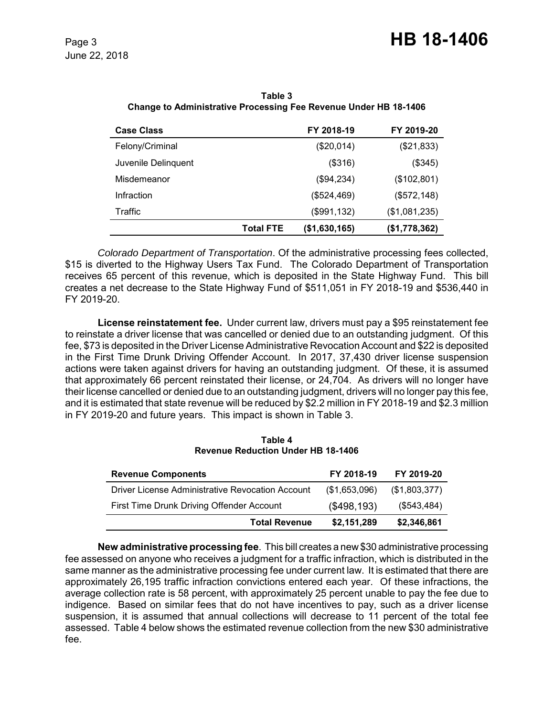| <b>Case Class</b>   |                  | FY 2018-19    | FY 2019-20    |
|---------------------|------------------|---------------|---------------|
| Felony/Criminal     |                  | (\$20,014)    | (\$21,833)    |
| Juvenile Delinquent |                  | (\$316)       | (\$345)       |
| Misdemeanor         |                  | (\$94,234)    | (\$102,801)   |
| Infraction          |                  | (\$524,469)   | (\$572, 148)  |
| Traffic             |                  | (\$991,132)   | (\$1,081,235) |
|                     | <b>Total FTE</b> | (\$1,630,165) | (\$1,778,362) |

**Table 3 Change to Administrative Processing Fee Revenue Under HB 18-1406**

*Colorado Department of Transportation*. Of the administrative processing fees collected, \$15 is diverted to the Highway Users Tax Fund. The Colorado Department of Transportation receives 65 percent of this revenue, which is deposited in the State Highway Fund. This bill creates a net decrease to the State Highway Fund of \$511,051 in FY 2018-19 and \$536,440 in FY 2019-20.

**License reinstatement fee.** Under current law, drivers must pay a \$95 reinstatement fee to reinstate a driver license that was cancelled or denied due to an outstanding judgment. Of this fee, \$73 is deposited in the Driver License Administrative Revocation Account and \$22 is deposited in the First Time Drunk Driving Offender Account. In 2017, 37,430 driver license suspension actions were taken against drivers for having an outstanding judgment. Of these, it is assumed that approximately 66 percent reinstated their license, or 24,704. As drivers will no longer have their license cancelled or denied due to an outstanding judgment, drivers will no longer pay this fee, and it is estimated that state revenue will be reduced by \$2.2 million in FY 2018-19 and \$2.3 million in FY 2019-20 and future years. This impact is shown in Table 3.

**Table 4 Revenue Reduction Under HB 18-1406**

| <b>Revenue Components</b>                        | FY 2018-19    | FY 2019-20    |
|--------------------------------------------------|---------------|---------------|
| Driver License Administrative Revocation Account | (\$1,653,096) | (\$1,803,377) |
| First Time Drunk Driving Offender Account        | (\$498,193)   | (\$543,484)   |
| <b>Total Revenue</b>                             | \$2,151,289   | \$2,346,861   |

**New administrative processing fee**. This bill creates a new \$30 administrative processing fee assessed on anyone who receives a judgment for a traffic infraction, which is distributed in the same manner as the administrative processing fee under current law. It is estimated that there are approximately 26,195 traffic infraction convictions entered each year. Of these infractions, the average collection rate is 58 percent, with approximately 25 percent unable to pay the fee due to indigence. Based on similar fees that do not have incentives to pay, such as a driver license suspension, it is assumed that annual collections will decrease to 11 percent of the total fee assessed. Table 4 below shows the estimated revenue collection from the new \$30 administrative fee.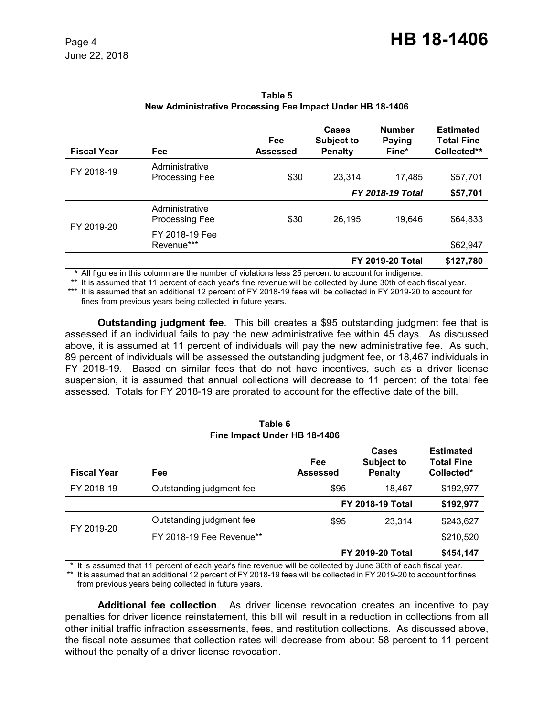| <b>Fiscal Year</b> | Fee                                     | Fee<br><b>Assessed</b> | <b>Cases</b><br><b>Subject to</b><br><b>Penalty</b> | <b>Number</b><br><b>Paying</b><br>Fine* | <b>Estimated</b><br><b>Total Fine</b><br>Collected** |
|--------------------|-----------------------------------------|------------------------|-----------------------------------------------------|-----------------------------------------|------------------------------------------------------|
| FY 2018-19         | Administrative<br><b>Processing Fee</b> | \$30                   | 23,314                                              | 17,485                                  | \$57,701                                             |
|                    |                                         |                        |                                                     | <b>FY 2018-19 Total</b>                 | \$57,701                                             |
| FY 2019-20         | Administrative<br><b>Processing Fee</b> | \$30                   | 26,195                                              | 19,646                                  | \$64,833                                             |
|                    | FY 2018-19 Fee<br>Revenue***            |                        |                                                     |                                         | \$62,947                                             |
|                    |                                         |                        |                                                     | <b>FY 2019-20 Total</b>                 | \$127,780                                            |

**Table 5 New Administrative Processing Fee Impact Under HB 18-1406**

*\** All figures in this column are the number of violations less 25 percent to account for indigence.

\*\* It is assumed that 11 percent of each year's fine revenue will be collected by June 30th of each fiscal year. \*\*\* It is assumed that an additional 12 percent of FY 2018-19 fees will be collected in FY 2019-20 to account for fines from previous years being collected in future years.

**Outstanding judgment fee**. This bill creates a \$95 outstanding judgment fee that is assessed if an individual fails to pay the new administrative fee within 45 days. As discussed above, it is assumed at 11 percent of individuals will pay the new administrative fee. As such, 89 percent of individuals will be assessed the outstanding judgment fee, or 18,467 individuals in FY 2018-19. Based on similar fees that do not have incentives, such as a driver license suspension, it is assumed that annual collections will decrease to 11 percent of the total fee assessed. Totals for FY 2018-19 are prorated to account for the effective date of the bill.

#### **Table 6 Fine Impact Under HB 18-1406**

| <b>Fiscal Year</b> | Fee                      | Fee<br>Assessed | Cases<br><b>Subject to</b><br><b>Penalty</b> | <b>Estimated</b><br><b>Total Fine</b><br>Collected* |
|--------------------|--------------------------|-----------------|----------------------------------------------|-----------------------------------------------------|
| FY 2018-19         | Outstanding judgment fee | \$95            | 18.467                                       | \$192,977                                           |
|                    |                          |                 | <b>FY 2018-19 Total</b>                      | \$192,977                                           |
| FY 2019-20         | Outstanding judgment fee | \$95            | 23.314                                       | \$243,627                                           |
|                    | FY 2018-19 Fee Revenue** |                 |                                              | \$210,520                                           |
|                    |                          |                 | <b>FY 2019-20 Total</b>                      | \$454,147                                           |

\* It is assumed that 11 percent of each year's fine revenue will be collected by June 30th of each fiscal year.

\*\* It is assumed that an additional 12 percent of FY 2018-19 fees will be collected in FY 2019-20 to account for fines from previous years being collected in future years.

**Additional fee collection**. As driver license revocation creates an incentive to pay penalties for driver licence reinstatement, this bill will result in a reduction in collections from all other initial traffic infraction assessments, fees, and restitution collections. As discussed above, the fiscal note assumes that collection rates will decrease from about 58 percent to 11 percent without the penalty of a driver license revocation.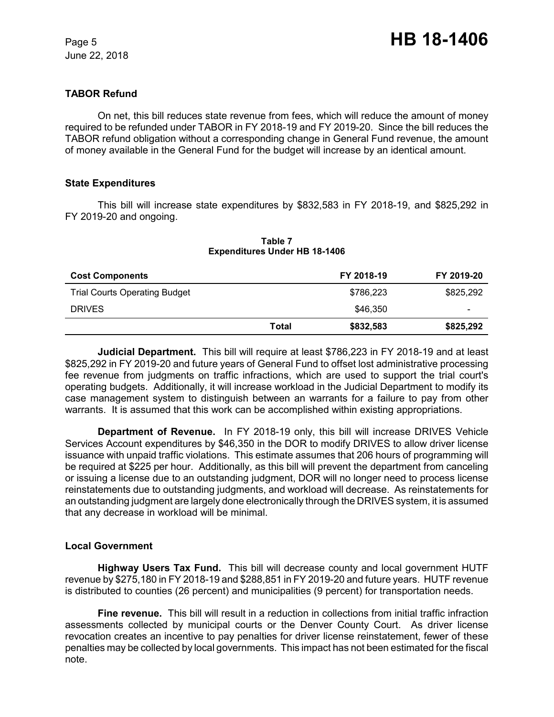June 22, 2018

# **TABOR Refund**

On net, this bill reduces state revenue from fees, which will reduce the amount of money required to be refunded under TABOR in FY 2018-19 and FY 2019-20. Since the bill reduces the TABOR refund obligation without a corresponding change in General Fund revenue, the amount of money available in the General Fund for the budget will increase by an identical amount.

## **State Expenditures**

This bill will increase state expenditures by \$832,583 in FY 2018-19, and \$825,292 in FY 2019-20 and ongoing.

| <b>Cost Components</b>               |       | FY 2018-19 | FY 2019-20 |
|--------------------------------------|-------|------------|------------|
| <b>Trial Courts Operating Budget</b> |       | \$786,223  | \$825,292  |
| <b>DRIVES</b>                        |       | \$46,350   | -          |
|                                      | Total | \$832,583  | \$825,292  |

#### **Table 7 Expenditures Under HB 18-1406**

**Judicial Department.** This bill will require at least \$786,223 in FY 2018-19 and at least \$825,292 in FY 2019-20 and future years of General Fund to offset lost administrative processing fee revenue from judgments on traffic infractions, which are used to support the trial court's operating budgets. Additionally, it will increase workload in the Judicial Department to modify its case management system to distinguish between an warrants for a failure to pay from other warrants. It is assumed that this work can be accomplished within existing appropriations.

**Department of Revenue.** In FY 2018-19 only, this bill will increase DRIVES Vehicle Services Account expenditures by \$46,350 in the DOR to modify DRIVES to allow driver license issuance with unpaid traffic violations. This estimate assumes that 206 hours of programming will be required at \$225 per hour. Additionally, as this bill will prevent the department from canceling or issuing a license due to an outstanding judgment, DOR will no longer need to process license reinstatements due to outstanding judgments, and workload will decrease. As reinstatements for an outstanding judgment are largely done electronically through the DRIVES system, it is assumed that any decrease in workload will be minimal.

## **Local Government**

**Highway Users Tax Fund.** This bill will decrease county and local government HUTF revenue by \$275,180 in FY 2018-19 and \$288,851 in FY 2019-20 and future years. HUTF revenue is distributed to counties (26 percent) and municipalities (9 percent) for transportation needs.

**Fine revenue.** This bill will result in a reduction in collections from initial traffic infraction assessments collected by municipal courts or the Denver County Court. As driver license revocation creates an incentive to pay penalties for driver license reinstatement, fewer of these penalties may be collected by local governments. This impact has not been estimated for the fiscal note.